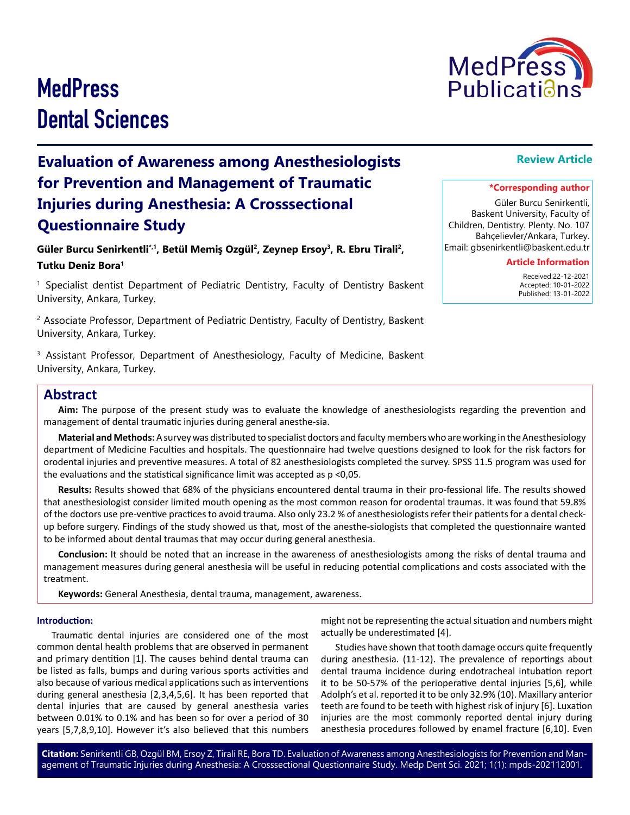#### **Citation:** Senirkentli GB, Ozgül BM, Ersoy Z, Tirali RE, Bora TD. Evaluation of Awareness among Anesthesiologists for Prevention and Management of Traumatic Injuries during Anesthesia: A Crosssectional Questionnaire Study. Medp Dent Sci. 2021; 1(1): mpds-202112001.

# **MedPress** Dental Sciences

**Evaluation of Awareness among Anesthesiologists for Prevention and Management of Traumatic Injuries during Anesthesia: A Crosssectional Questionnaire Study**

**Güler Burcu Senirkentli\*,1, Betül Memiş Ozgül2, Zeynep Ersoy3, R. Ebru Tirali2, Tutku Deniz Bora<sup>1</sup>**

1 Specialist dentist Department of Pediatric Dentistry, Faculty of Dentistry Baskent University, Ankara, Turkey.

<sup>2</sup> Associate Professor, Department of Pediatric Dentistry, Faculty of Dentistry, Baskent University, Ankara, Turkey.

<sup>3</sup> Assistant Professor, Department of Anesthesiology, Faculty of Medicine, Baskent University, Ankara, Turkey.

## **Abstract**

**Aim:** The purpose of the present study was to evaluate the knowledge of anesthesiologists regarding the prevention and management of dental traumatic injuries during general anesthe-sia.

**Material and Methods:** A survey was distributed to specialist doctors and faculty members who are working in the Anesthesiology department of Medicine Faculties and hospitals. The questionnaire had twelve questions designed to look for the risk factors for orodental injuries and preventive measures. A total of 82 anesthesiologists completed the survey. SPSS 11.5 program was used for the evaluations and the statistical significance limit was accepted as p <0,05.

**Results:** Results showed that 68% of the physicians encountered dental trauma in their pro-fessional life. The results showed that anesthesiologist consider limited mouth opening as the most common reason for orodental traumas. It was found that 59.8% of the doctors use pre-ventive practices to avoid trauma. Also only 23.2 % of anesthesiologists refer their patients for a dental checkup before surgery. Findings of the study showed us that, most of the anesthe-siologists that completed the questionnaire wanted to be informed about dental traumas that may occur during general anesthesia.

**Conclusion:** It should be noted that an increase in the awareness of anesthesiologists among the risks of dental trauma and management measures during general anesthesia will be useful in reducing potential complications and costs associated with the treatment.

**Keywords:** General Anesthesia, dental trauma, management, awareness.

#### **Introduction:**

Traumatic dental injuries are considered one of the most common dental health problems that are observed in permanent and primary dentition [1]. The causes behind dental trauma can be listed as falls, bumps and during various sports activities and also because of various medical applications such as interventions during general anesthesia [2,3,4,5,6]. It has been reported that dental injuries that are caused by general anesthesia varies between 0.01% to 0.1% and has been so for over a period of 30 years [5,7,8,9,10]. However it's also believed that this numbers

might not be representing the actual situation and numbers might actually be underestimated [4].

Studies have shown that tooth damage occurs quite frequently during anesthesia. (11-12). The prevalence of reportings about dental trauma incidence during endotracheal intubation report it to be 50-57% of the perioperative dental injuries [5,6], while Adolph's et al. reported it to be only 32.9% (10). Maxillary anterior teeth are found to be teeth with highest risk of injury [6]. Luxation injuries are the most commonly reported dental injury during anesthesia procedures followed by enamel fracture [6,10]. Even

Güler Burcu Senirkentli, Baskent University, Faculty of Children, Dentistry. Plenty. No. 107 Bahçelievler/Ankara, Turkey. Email: gbsenirkentli@baskent.edu.tr

#### **Article Information**

 Received:22-12-2021 Accepted: 10-01-2022 Published: 13-01-2022



# **\*Corresponding author**

**Review Article**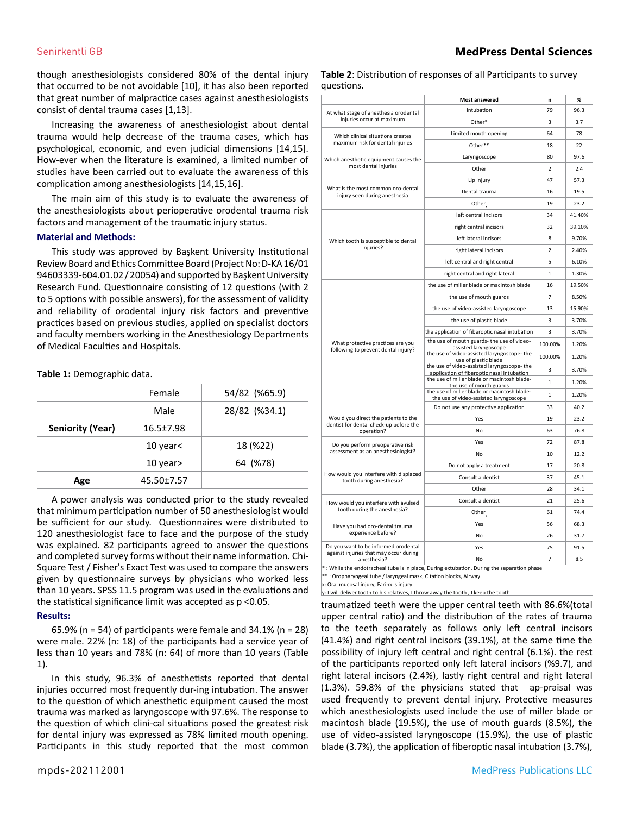**Most answered n %**

 $\frac{1}{2}$ 

Intubation  $\vert$  79 96.3 Other\* 3 3.7

though anesthesiologists considered 80% of the dental injury that occurred to be not avoidable [10], it has also been reported that great number of malpractice cases against anesthesiologists consist of dental trauma cases [1,13].

Increasing the awareness of anesthesiologist about dental trauma would help decrease of the trauma cases, which has psychological, economic, and even judicial dimensions [14,15]. How-ever when the literature is examined, a limited number of studies have been carried out to evaluate the awareness of this complication among anesthesiologists [14,15,16].

The main aim of this study is to evaluate the awareness of the anesthesiologists about perioperative orodental trauma risk factors and management of the traumatic injury status.

#### **Material and Methods:**

This study was approved by Başkent University Institutional Review Board and Ethics Committee Board (Project No: D-KA 16/01 94603339-604.01.02 / 20054) and supported by Başkent University Research Fund. Questionnaire consisting of 12 questions (with 2 to 5 options with possible answers), for the assessment of validity and reliability of orodental injury risk factors and preventive practices based on previous studies, applied on specialist doctors and faculty members working in the Anesthesiology Departments of Medical Faculties and Hospitals.

#### **Table 1:** Demographic data.

|                         | Female          | 54/82 (%65.9) |
|-------------------------|-----------------|---------------|
|                         | Male            | 28/82 (%34.1) |
| <b>Seniority (Year)</b> | $16.5 \pm 7.98$ |               |
|                         | 10 year<        | 18 (%22)      |
|                         | 10 year>        | 64 (%78)      |
| Age                     | 45.50±7.57      |               |

A power analysis was conducted prior to the study revealed that minimum participation number of 50 anesthesiologist would be sufficient for our study. Questionnaires were distributed to 120 anesthesiologist face to face and the purpose of the study was explained. 82 participants agreed to answer the questions and completed survey forms without their name information. Chi-Square Test / Fisher's Exact Test was used to compare the answers given by questionnaire surveys by physicians who worked less than 10 years. SPSS 11.5 program was used in the evaluations and the statistical significance limit was accepted as p <0.05.

#### **Results:**

65.9% (n = 54) of participants were female and  $34.1\%$  (n = 28) were male. 22% (n: 18) of the participants had a service year of less than 10 years and 78% (n: 64) of more than 10 years (Table 1).

In this study, 96.3% of anesthetists reported that dental injuries occurred most frequently dur-ing intubation. The answer to the question of which anesthetic equipment caused the most trauma was marked as laryngoscope with 97.6%. The response to the question of which clini-cal situations posed the greatest risk for dental injury was expressed as 78% limited mouth opening. Participants in this study reported that the most common

### Which anesthetic equipment causes the

questions.

At what stage of anesthesia orodental injuries occur at maximum

| Which clinical situations creates                                                            | Limited model opening                                                                    | υ4             | 70     |
|----------------------------------------------------------------------------------------------|------------------------------------------------------------------------------------------|----------------|--------|
| maximum risk for dental injuries                                                             | Other**                                                                                  | 18             | 22     |
| Which anesthetic equipment causes the                                                        | Laryngoscope                                                                             | 80             | 97.6   |
| most dental injuries                                                                         | Other                                                                                    | $\overline{2}$ | 2.4    |
| What is the most common oro-dental<br>injury seen during anesthesia                          | Lip injury                                                                               | 47             | 57.3   |
|                                                                                              | Dental trauma                                                                            | 16             | 19.5   |
|                                                                                              | Other <sub>v</sub>                                                                       | 19             | 23.2   |
| Which tooth is susceptible to dental<br>injuries?                                            | left central incisors                                                                    | 34             | 41.40% |
|                                                                                              | right central incisors                                                                   | 32             | 39.10% |
|                                                                                              | left lateral incisors                                                                    | 8              | 9.70%  |
|                                                                                              | right lateral incisors                                                                   | 2              | 2.40%  |
|                                                                                              | left central and right central                                                           | 5              | 6.10%  |
|                                                                                              | right central and right lateral                                                          | 1              | 1.30%  |
| What protective practices are you<br>following to prevent dental injury?                     | the use of miller blade or macintosh blade                                               | 16             | 19.50% |
|                                                                                              | the use of mouth guards                                                                  | 7              | 8.50%  |
|                                                                                              | the use of video-assisted laryngoscope                                                   | 13             | 15.90% |
|                                                                                              | the use of plastic blade                                                                 | 3              | 3.70%  |
|                                                                                              | the application of fiberoptic nasal intubation                                           | 3              | 3.70%  |
|                                                                                              | the use of mouth guards- the use of video-<br>assisted laryngoscope                      | 100.00%        | 1.20%  |
|                                                                                              | the use of video-assisted laryngoscope- the<br>use of plastic blade                      | 100.00%        | 1.20%  |
|                                                                                              | the use of video-assisted laryngoscope-the<br>application of fiberoptic nasal intubation | 3              | 3.70%  |
|                                                                                              | the use of miller blade or macintosh blade-<br>the use of mouth guards                   | 1              | 1.20%  |
|                                                                                              | the use of miller blade or macintosh blade-<br>the use of video-assisted laryngoscope    | 1              | 1.20%  |
|                                                                                              | Do not use any protective application                                                    | 33             | 40.2   |
| Would you direct the patients to the<br>dentist for dental check-up before the<br>operation? | Yes                                                                                      | 19             | 23.2   |
|                                                                                              | <b>No</b>                                                                                | 63             | 76.8   |
| Do you perform preoperative risk<br>assessment as an anesthesiologist?                       | Yes                                                                                      | 72             | 87.8   |
|                                                                                              | No                                                                                       | 10             | 12.2   |
| How would you interfere with displaced<br>tooth during anesthesia?                           | Do not apply a treatment                                                                 | 17             | 20.8   |
|                                                                                              | Consult a dentist                                                                        | 37             | 45.1   |
|                                                                                              | Other                                                                                    | 28             | 34.1   |
| How would you interfere with avulsed                                                         | Consult a dentist                                                                        | 21             | 25.6   |
| tooth during the anesthesia?                                                                 | Other <sub>v</sub>                                                                       | 61             | 74.4   |
| Have you had oro-dental trauma                                                               | Yes                                                                                      | 56             | 68.3   |
| experience before?                                                                           | No                                                                                       | 26             | 31.7   |
| Do you want to be informed orodental                                                         | Yes                                                                                      | 75             | 91.5   |
| against injuries that may occur during<br>anesthesia?                                        | No                                                                                       | $\overline{7}$ | 8.5    |
| $-3.4.41 - 11 - 10.5$                                                                        |                                                                                          |                |        |

**Table 2**: Distribution of responses of all Participants to survey

During the separation phase

\*\* : Oropharyngeal tube / laryngeal mask, Citation blocks, Airway

x: Oral mucosal injury, Farinx 's injury

y: I will deliver tooth to his relatives, I throw away the tooth, I keep the tooth

traumatized teeth were the upper central teeth with 86.6%(total upper central ratio) and the distribution of the rates of trauma to the teeth separately as follows only left central incisors (41.4%) and right central incisors (39.1%), at the same time the possibility of injury left central and right central (6.1%). the rest of the participants reported only left lateral incisors (%9.7), and right lateral incisors (2.4%), lastly right central and right lateral (1.3%). 59.8% of the physicians stated that ap-praisal was used frequently to prevent dental injury. Protective measures which anesthesiologists used include the use of miller blade or macintosh blade (19.5%), the use of mouth guards (8.5%), the use of video-assisted laryngoscope (15.9%), the use of plastic blade (3.7%), the application of fiberoptic nasal intubation (3.7%),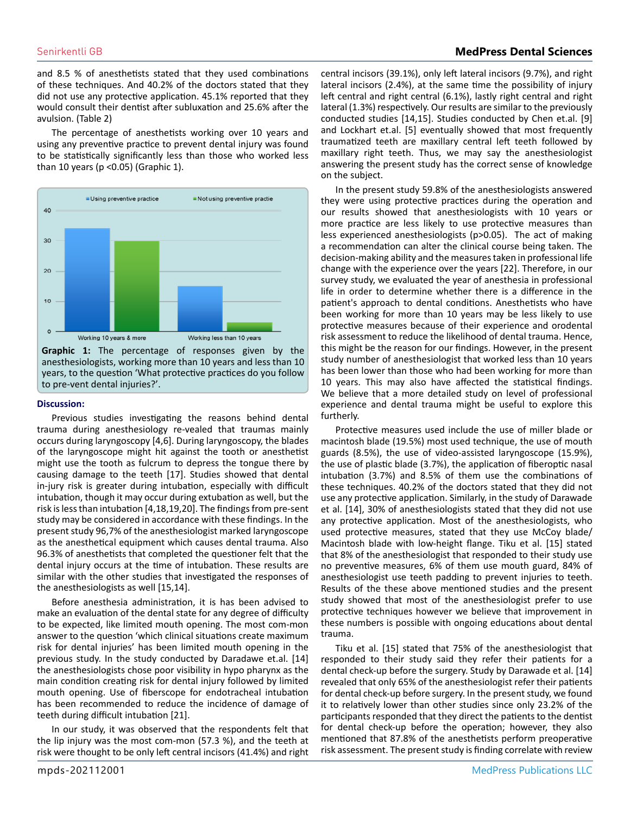and 8.5 % of anesthetists stated that they used combinations of these techniques. And 40.2% of the doctors stated that they did not use any protective application. 45.1% reported that they would consult their dentist after subluxation and 25.6% after the avulsion. (Table 2)

The percentage of anesthetists working over 10 years and using any preventive practice to prevent dental injury was found to be statistically significantly less than those who worked less than 10 years (p <0.05) (Graphic 1).



anesthesiologists, working more than 10 years and less than 10 years, to the question 'What protective practices do you follow to pre-vent dental injuries?'.

#### **Discussion:**

Previous studies investigating the reasons behind dental trauma during anesthesiology re-vealed that traumas mainly occurs during laryngoscopy [4,6]. During laryngoscopy, the blades of the laryngoscope might hit against the tooth or anesthetist might use the tooth as fulcrum to depress the tongue there by causing damage to the teeth [17]. Studies showed that dental in-jury risk is greater during intubation, especially with difficult intubation, though it may occur during extubation as well, but the risk is less than intubation [4,18,19,20]. The findings from pre-sent study may be considered in accordance with these findings. In the present study 96,7% of the anesthesiologist marked laryngoscope as the anesthetical equipment which causes dental trauma. Also 96.3% of anesthetists that completed the questioner felt that the dental injury occurs at the time of intubation. These results are similar with the other studies that investigated the responses of the anesthesiologists as well [15,14].

Before anesthesia administration, it is has been advised to make an evaluation of the dental state for any degree of difficulty to be expected, like limited mouth opening. The most com-mon answer to the question 'which clinical situations create maximum risk for dental injuries' has been limited mouth opening in the previous study. In the study conducted by Daradawe et.al. [14] the anesthesiologists chose poor visibility in hypo pharynx as the main condition creating risk for dental injury followed by limited mouth opening. Use of fiberscope for endotracheal intubation has been recommended to reduce the incidence of damage of teeth during difficult intubation [21].

In our study, it was observed that the respondents felt that the lip injury was the most com-mon (57.3 %), and the teeth at risk were thought to be only left central incisors (41.4%) and right central incisors (39.1%), only left lateral incisors (9.7%), and right lateral incisors (2.4%), at the same time the possibility of injury left central and right central (6.1%), lastly right central and right lateral (1.3%) respectively. Our results are similar to the previously conducted studies [14,15]. Studies conducted by Chen et.al. [9] and Lockhart et.al. [5] eventually showed that most frequently traumatized teeth are maxillary central left teeth followed by maxillary right teeth. Thus, we may say the anesthesiologist answering the present study has the correct sense of knowledge on the subject.

In the present study 59.8% of the anesthesiologists answered they were using protective practices during the operation and our results showed that anesthesiologists with 10 years or more practice are less likely to use protective measures than less experienced anesthesiologists (p>0.05). The act of making a recommendation can alter the clinical course being taken. The decision-making ability and the measures taken in professional life change with the experience over the years [22]. Therefore, in our survey study, we evaluated the year of anesthesia in professional life in order to determine whether there is a difference in the patient's approach to dental conditions. Anesthetists who have been working for more than 10 years may be less likely to use protective measures because of their experience and orodental risk assessment to reduce the likelihood of dental trauma. Hence, this might be the reason for our findings. However, in the present study number of anesthesiologist that worked less than 10 years has been lower than those who had been working for more than 10 years. This may also have affected the statistical findings. We believe that a more detailed study on level of professional experience and dental trauma might be useful to explore this furtherly.

Protective measures used include the use of miller blade or macintosh blade (19.5%) most used technique, the use of mouth guards (8.5%), the use of video-assisted laryngoscope (15.9%), the use of plastic blade (3.7%), the application of fiberoptic nasal intubation (3.7%) and 8.5% of them use the combinations of these techniques. 40.2% of the doctors stated that they did not use any protective application. Similarly, in the study of Darawade et al. [14], 30% of anesthesiologists stated that they did not use any protective application. Most of the anesthesiologists, who used protective measures, stated that they use McCoy blade/ Macintosh blade with low‐height flange. Tiku et al. [15] stated that 8% of the anesthesiologist that responded to their study use no preventive measures, 6% of them use mouth guard, 84% of anesthesiologist use teeth padding to prevent injuries to teeth. Results of the these above mentioned studies and the present study showed that most of the anesthesiologist prefer to use protective techniques however we believe that improvement in these numbers is possible with ongoing educations about dental trauma.

Tiku et al. [15] stated that 75% of the anesthesiologist that responded to their study said they refer their patients for a dental check-up before the surgery. Study by Darawade et al. [14] revealed that only 65% of the anesthesiologist refer their patients for dental check-up before surgery. In the present study, we found it to relatively lower than other studies since only 23.2% of the participants responded that they direct the patients to the dentist for dental check-up before the operation; however, they also mentioned that 87.8% of the anesthetists perform preoperative risk assessment. The present study is finding correlate with review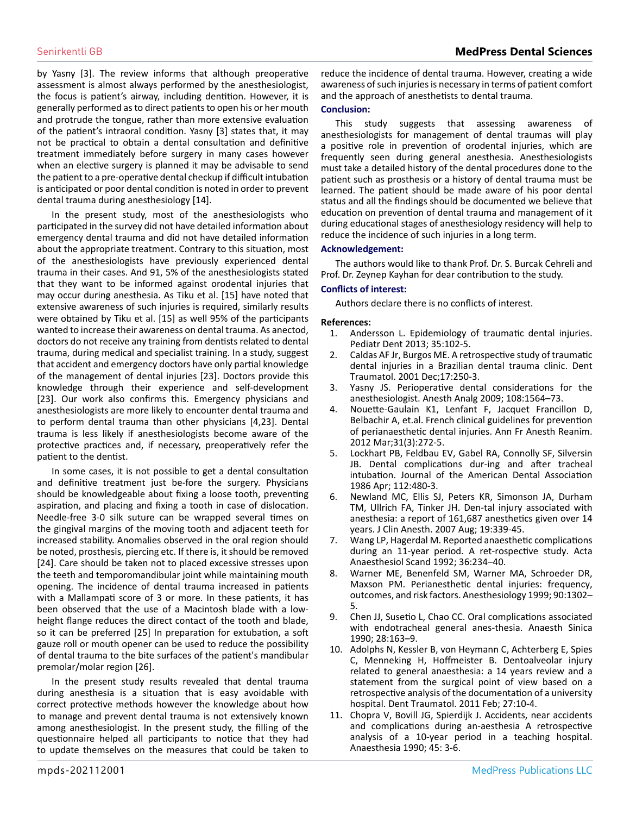by Yasny [3]. The review informs that although preoperative assessment is almost always performed by the anesthesiologist, the focus is patient's airway, including dentition. However, it is generally performed as to direct patients to open his or her mouth and protrude the tongue, rather than more extensive evaluation of the patient's intraoral condition. Yasny [3] states that, it may not be practical to obtain a dental consultation and definitive treatment immediately before surgery in many cases however when an elective surgery is planned it may be advisable to send the patient to a pre-operative dental checkup if difficult intubation is anticipated or poor dental condition is noted in order to prevent dental trauma during anesthesiology [14].

In the present study, most of the anesthesiologists who participated in the survey did not have detailed information about emergency dental trauma and did not have detailed information about the appropriate treatment. Contrary to this situation, most of the anesthesiologists have previously experienced dental trauma in their cases. And 91, 5% of the anesthesiologists stated that they want to be informed against orodental injuries that may occur during anesthesia. As Tiku et al. [15] have noted that extensive awareness of such injuries is required, similarly results were obtained by Tiku et al. [15] as well 95% of the participants wanted to increase their awareness on dental trauma. As anectod, doctors do not receive any training from dentists related to dental trauma, during medical and specialist training. In a study, suggest that accident and emergency doctors have only partial knowledge of the management of dental injuries [23]. Doctors provide this knowledge through their experience and self-development [23]. Our work also confirms this. Emergency physicians and anesthesiologists are more likely to encounter dental trauma and to perform dental trauma than other physicians [4,23]. Dental trauma is less likely if anesthesiologists become aware of the protective practices and, if necessary, preoperatively refer the patient to the dentist.

In some cases, it is not possible to get a dental consultation and definitive treatment just be-fore the surgery. Physicians should be knowledgeable about fixing a loose tooth, preventing aspiration, and placing and fixing a tooth in case of dislocation. Needle-free 3-0 silk suture can be wrapped several times on the gingival margins of the moving tooth and adjacent teeth for increased stability. Anomalies observed in the oral region should be noted, prosthesis, piercing etc. If there is, it should be removed [24]. Care should be taken not to placed excessive stresses upon the teeth and temporomandibular joint while maintaining mouth opening. The incidence of dental trauma increased in patients with a Mallampati score of 3 or more. In these patients, it has been observed that the use of a Macintosh blade with a lowheight flange reduces the direct contact of the tooth and blade, so it can be preferred [25] In preparation for extubation, a soft gauze roll or mouth opener can be used to reduce the possibility of dental trauma to the bite surfaces of the patient's mandibular premolar/molar region [26].

In the present study results revealed that dental trauma during anesthesia is a situation that is easy avoidable with correct protective methods however the knowledge about how to manage and prevent dental trauma is not extensively known among anesthesiologist. In the present study, the filling of the questionnaire helped all participants to notice that they had to update themselves on the measures that could be taken to

reduce the incidence of dental trauma. However, creating a wide awareness of such injuries is necessary in terms of patient comfort and the approach of anesthetists to dental trauma.

#### **Conclusion:**

This study suggests that assessing awareness of anesthesiologists for management of dental traumas will play a positive role in prevention of orodental injuries, which are frequently seen during general anesthesia. Anesthesiologists must take a detailed history of the dental procedures done to the patient such as prosthesis or a history of dental trauma must be learned. The patient should be made aware of his poor dental status and all the findings should be documented we believe that education on prevention of dental trauma and management of it during educational stages of anesthesiology residency will help to reduce the incidence of such injuries in a long term.

#### **Acknowledgement:**

The authors would like to thank Prof. Dr. S. Burcak Cehreli and Prof. Dr. Zeynep Kayhan for dear contribution to the study.

#### **Conflicts of interest:**

Authors declare there is no conflicts of interest.

#### **References:**

- 1. [Andersson L. Epidemiology of traumatic dental injuries.](https://pubmed.ncbi.nlm.nih.gov/23439040/)  [Pediatr Dent 2013; 35:102-5.](https://pubmed.ncbi.nlm.nih.gov/23439040/)
- 2. [Caldas AF Jr, Burgos ME. A retrospective study of traumatic](https://pubmed.ncbi.nlm.nih.gov/11766091/)  [dental injuries in a Brazilian dental trauma clinic. Dent](https://pubmed.ncbi.nlm.nih.gov/11766091/)  [Traumatol. 2001 Dec;17:250-3.](https://pubmed.ncbi.nlm.nih.gov/11766091/)
- Yasny JS. Perioperative dental considerations for the [anesthesiologist. Anesth Analg 2009; 108:1564–73.](https://pubmed.ncbi.nlm.nih.gov/19372337/)
- 4. [Nouette-Gaulain K1, Lenfant F, Jacquet Francillon D,](https://pubmed.ncbi.nlm.nih.gov/22377414/)  [Belbachir A, et.al. French clinical guidelines for prevention](https://pubmed.ncbi.nlm.nih.gov/22377414/)  [of perianaesthetic dental injuries. Ann Fr Anesth Reanim.](https://pubmed.ncbi.nlm.nih.gov/22377414/)  [2012 Mar;31\(3\):272-5.](https://pubmed.ncbi.nlm.nih.gov/22377414/)
- 5. [Lockhart PB, Feldbau EV, Gabel RA, Connolly SF, Silversin](https://pubmed.ncbi.nlm.nih.gov/2871061/)  [JB. Dental complications dur-ing and after tracheal](https://pubmed.ncbi.nlm.nih.gov/2871061/)  [intubation. Journal of the American Dental Association](https://pubmed.ncbi.nlm.nih.gov/2871061/)  [1986 Apr; 112:480-3.](https://pubmed.ncbi.nlm.nih.gov/2871061/)
- 6. [Newland MC, Ellis SJ, Peters KR, Simonson JA, Durham](https://pubmed.ncbi.nlm.nih.gov/17869983/)  [TM, Ullrich FA, Tinker JH. Den-tal injury associated with](https://pubmed.ncbi.nlm.nih.gov/17869983/)  [anesthesia: a report of 161,687 anesthetics given over 14](https://pubmed.ncbi.nlm.nih.gov/17869983/)  [years. J Clin Anesth. 2007 Aug; 19:339-45.](https://pubmed.ncbi.nlm.nih.gov/17869983/)
- 7. [Wang LP, Hagerdal M. Reported anaesthetic complications](https://pubmed.ncbi.nlm.nih.gov/1574971/)  [during an 11-year period. A ret-rospective study. Acta](https://pubmed.ncbi.nlm.nih.gov/1574971/) [Anaesthesiol Scand 1992; 36:234–40.](https://pubmed.ncbi.nlm.nih.gov/1574971/)
- 8. [Warner ME, Benenfeld SM, Warner MA, Schroeder DR,](https://pubmed.ncbi.nlm.nih.gov/10319777/)  [Maxson PM. Perianesthetic dental injuries: frequency,](https://pubmed.ncbi.nlm.nih.gov/10319777/) [outcomes, and risk factors. Anesthesiology 1999; 90:1302–](https://pubmed.ncbi.nlm.nih.gov/10319777/) [5.](https://pubmed.ncbi.nlm.nih.gov/10319777/)
- 9. [Chen JJ, Susetio L, Chao CC. Oral complications associated](https://pubmed.ncbi.nlm.nih.gov/1977068/)  [with endotracheal general anes-thesia. Anaesth Sinica](https://pubmed.ncbi.nlm.nih.gov/1977068/)  [1990; 28:163–9.](https://pubmed.ncbi.nlm.nih.gov/1977068/)
- 10. [Adolphs N, Kessler B, von Heymann C, Achterberg E, Spies](https://pubmed.ncbi.nlm.nih.gov/21244623/)  [C, Menneking H, Hoffmeister B. Dentoalveolar injury](https://pubmed.ncbi.nlm.nih.gov/21244623/)  [related to general anaesthesia: a 14 years review and a](https://pubmed.ncbi.nlm.nih.gov/21244623/)  [statement from the surgical point of view based on a](https://pubmed.ncbi.nlm.nih.gov/21244623/)  [retrospective analysis of the documentation of a university](https://pubmed.ncbi.nlm.nih.gov/21244623/)  [hospital. Dent Traumatol. 2011 Feb; 27:10-4.](https://pubmed.ncbi.nlm.nih.gov/21244623/)
- 11. [Chopra V, Bovill JG, Spierdijk J. Accidents, near accidents](https://pubmed.ncbi.nlm.nih.gov/2316834/)  [and complications during an-aesthesia A retrospective](https://pubmed.ncbi.nlm.nih.gov/2316834/) [analysis of a 10-year period in a teaching hospital.](https://pubmed.ncbi.nlm.nih.gov/2316834/)  [Anaesthesia 1990; 45: 3-6.](https://pubmed.ncbi.nlm.nih.gov/2316834/)